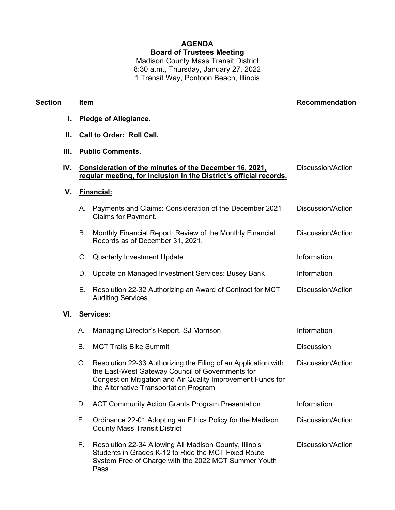## **AGENDA Board of Trustees Meeting**

Madison County Mass Transit District 8:30 a.m., Thursday, January 27, 2022 1 Transit Way, Pontoon Beach, Illinois

## **Section Item Recommendation**

- **I. Pledge of Allegiance.**
- **II. Call to Order: Roll Call.**
- **III. Public Comments.**

Pass

| IV. |                   | Consideration of the minutes of the December 16, 2021.<br>regular meeting, for inclusion in the District's official records.                                                                                                | Discussion/Action        |  |  |
|-----|-------------------|-----------------------------------------------------------------------------------------------------------------------------------------------------------------------------------------------------------------------------|--------------------------|--|--|
| V.  | <b>Financial:</b> |                                                                                                                                                                                                                             |                          |  |  |
|     | А.                | Payments and Claims: Consideration of the December 2021<br><b>Claims for Payment.</b>                                                                                                                                       | Discussion/Action        |  |  |
|     | В.                | Monthly Financial Report: Review of the Monthly Financial<br>Records as of December 31, 2021.                                                                                                                               | <b>Discussion/Action</b> |  |  |
|     |                   | C. Quarterly Investment Update                                                                                                                                                                                              | Information              |  |  |
|     | D.                | Update on Managed Investment Services: Busey Bank                                                                                                                                                                           | Information              |  |  |
|     | E.                | Resolution 22-32 Authorizing an Award of Contract for MCT<br><b>Auditing Services</b>                                                                                                                                       | Discussion/Action        |  |  |
| VI. | Services:         |                                                                                                                                                                                                                             |                          |  |  |
|     | А.                | Managing Director's Report, SJ Morrison                                                                                                                                                                                     | Information              |  |  |
|     | <b>B.</b>         | <b>MCT Trails Bike Summit</b>                                                                                                                                                                                               | <b>Discussion</b>        |  |  |
|     | $C_{\cdot}$       | Resolution 22-33 Authorizing the Filing of an Application with<br>the East-West Gateway Council of Governments for<br>Congestion Mitigation and Air Quality Improvement Funds for<br>the Alternative Transportation Program | Discussion/Action        |  |  |
|     | D.                | <b>ACT Community Action Grants Program Presentation</b>                                                                                                                                                                     | Information              |  |  |
|     | Е.                | Ordinance 22-01 Adopting an Ethics Policy for the Madison<br><b>County Mass Transit District</b>                                                                                                                            | <b>Discussion/Action</b> |  |  |
|     | Е.                | Resolution 22-34 Allowing All Madison County, Illinois<br>Students in Grades K-12 to Ride the MCT Fixed Route<br>System Free of Charge with the 2022 MCT Summer Youth                                                       | Discussion/Action        |  |  |